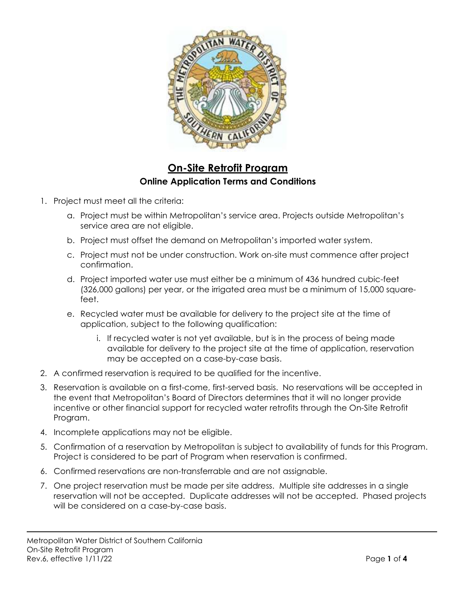

## On-Site Retrofit Program Online Application Terms and Conditions

- - a. Project must be within Metropolitan's service area. Projects outside Metropolitan's service area are not eligible.
	- b. Project must offset the demand on Metropolitan's imported water system.
	- c. Project must not be under construction. Work on-site must commence after project confirmation.
	- d. Project imported water use must either be a minimum of 436 hundred cubic-feet (326,000 gallons) per year, or the irrigated area must be a minimum of 15,000 squarefeet.
	- e. Recycled water must be available for delivery to the project site at the time of application, subject to the following qualification:
		- i. If recycled water is not yet available, but is in the process of being made available for delivery to the project site at the time of application, reservation may be accepted on a case-by-case basis.
- 2. A confirmed reservation is required to be qualified for the incentive.
- 3. Reservation is available on a first-come, first-served basis. No reservations will be accepted in the event that Metropolitan's Board of Directors determines that it will no longer provide incentive or other financial support for recycled water retrofits through the On-Site Retrofit Program.
- 4. Incomplete applications may not be eligible.
- 5. Confirmation of a reservation by Metropolitan is subject to availability of funds for this Program. Project is considered to be part of Program when reservation is confirmed.
- 6. Confirmed reservations are non-transferrable and are not assignable.
- 7. One project reservation must be made per site address. Multiple site addresses in a single reservation will not be accepted. Duplicate addresses will not be accepted. Phased projects will be considered on a case-by-case basis.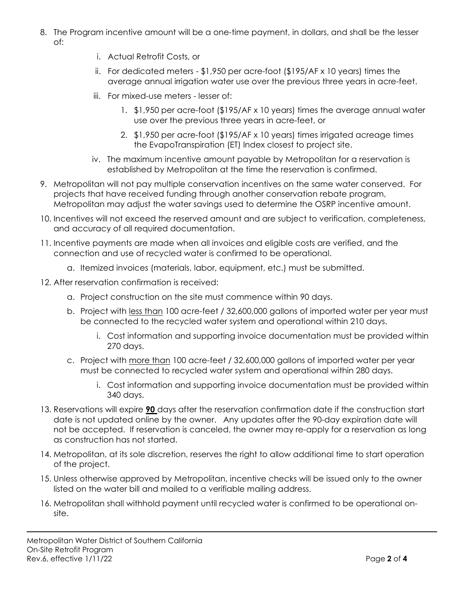- 8. The Program incentive amount will be a one-time payment, in dollars, and shall be the lesser of:
	- i. Actual Retrofit Costs, or
	- ii. For dedicated meters \$1,950 per acre-foot (\$195/AF x 10 years) times the average annual irrigation water use over the previous three years in acre-feet.
	- iii. For mixed-use meters lesser of:
		- 1. \$1,950 per acre-foot (\$195/AF x 10 years) times the average annual water use over the previous three years in acre-feet, or
		- 2. \$1,950 per acre-foot (\$195/AF x 10 years) times irrigated acreage times the EvapoTranspiration (ET) Index closest to project site.
	- iv. The maximum incentive amount payable by Metropolitan for a reservation is established by Metropolitan at the time the reservation is confirmed.
- 9. Metropolitan will not pay multiple conservation incentives on the same water conserved. For projects that have received funding through another conservation rebate program, Metropolitan may adjust the water savings used to determine the OSRP incentive amount.
- 10. Incentives will not exceed the reserved amount and are subject to verification, completeness, and accuracy of all required documentation.
- 11. Incentive payments are made when all invoices and eligible costs are verified, and the connection and use of recycled water is confirmed to be operational.
	- a. Itemized invoices (materials, labor, equipment, etc.) must be submitted.
- 12. After reservation confirmation is received:
	- a. Project construction on the site must commence within 90 days.
	- b. Project with less than 100 acre-feet / 32,600,000 gallons of imported water per year must be connected to the recycled water system and operational within 210 days.
		- i. Cost information and supporting invoice documentation must be provided within 270 days.
	- c. Project with more than 100 acre-feet / 32,600,000 gallons of imported water per year must be connected to recycled water system and operational within 280 days.
		- i. Cost information and supporting invoice documentation must be provided within 340 days.
- 13. Reservations will expire **90** days after the reservation confirmation date if the construction start date is not updated online by the owner. Any updates after the 90-day expiration date will not be accepted. If reservation is canceled, the owner may re-apply for a reservation as long as construction has not started.
- 14. Metropolitan, at its sole discretion, reserves the right to allow additional time to start operation of the project.
- 15. Unless otherwise approved by Metropolitan, incentive checks will be issued only to the owner listed on the water bill and mailed to a verifiable mailing address.
- 16. Metropolitan shall withhold payment until recycled water is confirmed to be operational onsite.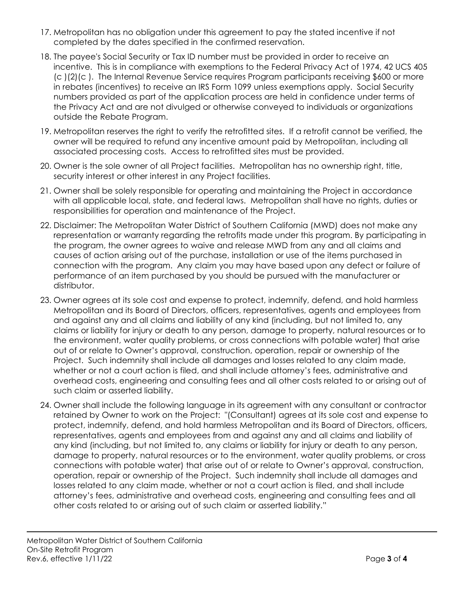- 17. Metropolitan has no obligation under this agreement to pay the stated incentive if not completed by the dates specified in the confirmed reservation.
- 18. The payee's Social Security or Tax ID number must be provided in order to receive an incentive. This is in compliance with exemptions to the Federal Privacy Act of 1974, 42 UCS 405 (c )(2)(c ). The Internal Revenue Service requires Program participants receiving \$600 or more in rebates (incentives) to receive an IRS Form 1099 unless exemptions apply. Social Security numbers provided as part of the application process are held in confidence under terms of the Privacy Act and are not divulged or otherwise conveyed to individuals or organizations outside the Rebate Program.
- 19. Metropolitan reserves the right to verify the retrofitted sites. If a retrofit cannot be verified, the owner will be required to refund any incentive amount paid by Metropolitan, including all associated processing costs. Access to retrofitted sites must be provided.
- 20. Owner is the sole owner of all Project facilities. Metropolitan has no ownership right, title, security interest or other interest in any Project facilities.
- 21. Owner shall be solely responsible for operating and maintaining the Project in accordance with all applicable local, state, and federal laws. Metropolitan shall have no rights, duties or responsibilities for operation and maintenance of the Project.
- 22. Disclaimer: The Metropolitan Water District of Southern California (MWD) does not make any representation or warranty regarding the retrofits made under this program. By participating in the program, the owner agrees to waive and release MWD from any and all claims and causes of action arising out of the purchase, installation or use of the items purchased in connection with the program. Any claim you may have based upon any defect or failure of performance of an item purchased by you should be pursued with the manufacturer or distributor.
- 23. Owner agrees at its sole cost and expense to protect, indemnify, defend, and hold harmless Metropolitan and its Board of Directors, officers, representatives, agents and employees from and against any and all claims and liability of any kind (including, but not limited to, any claims or liability for injury or death to any person, damage to property, natural resources or to the environment, water quality problems, or cross connections with potable water) that arise out of or relate to Owner's approval, construction, operation, repair or ownership of the Project. Such indemnity shall include all damages and losses related to any claim made, whether or not a court action is filed, and shall include attorney's fees, administrative and overhead costs, engineering and consulting fees and all other costs related to or arising out of such claim or asserted liability.
- 24. Owner shall include the following language in its agreement with any consultant or contractor retained by Owner to work on the Project: "(Consultant) agrees at its sole cost and expense to protect, indemnify, defend, and hold harmless Metropolitan and its Board of Directors, officers, representatives, agents and employees from and against any and all claims and liability of any kind (including, but not limited to, any claims or liability for injury or death to any person, damage to property, natural resources or to the environment, water quality problems, or cross connections with potable water) that arise out of or relate to Owner's approval, construction, operation, repair or ownership of the Project. Such indemnity shall include all damages and losses related to any claim made, whether or not a court action is filed, and shall include attorney's fees, administrative and overhead costs, engineering and consulting fees and all other costs related to or arising out of such claim or asserted liability."